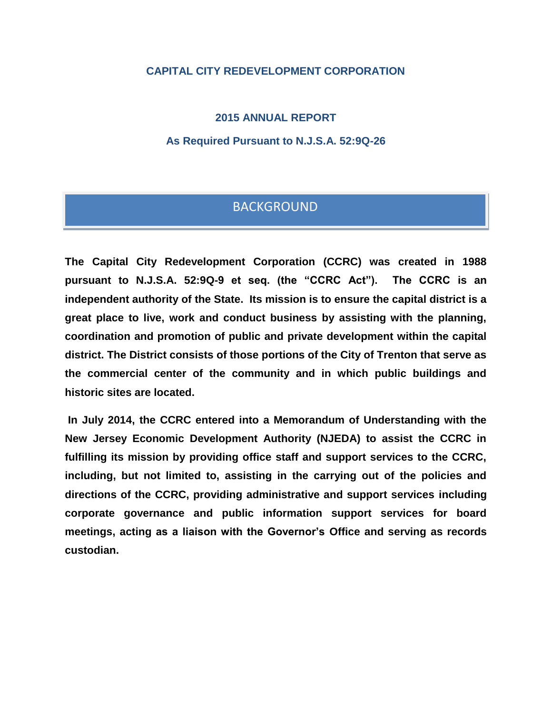### **CAPITAL CITY REDEVELOPMENT CORPORATION**

**2015 ANNUAL REPORT**

**As Required Pursuant to N.J.S.A. 52:9Q-26**

# BACKGROUND

**The Capital City Redevelopment Corporation (CCRC) was created in 1988 pursuant to N.J.S.A. 52:9Q-9 et seq. (the "CCRC Act"). The CCRC is an independent authority of the State. Its mission is to ensure the capital district is a great place to live, work and conduct business by assisting with the planning, coordination and promotion of public and private development within the capital district. The District consists of those portions of the City of Trenton that serve as the commercial center of the community and in which public buildings and historic sites are located.**

**In July 2014, the CCRC entered into a Memorandum of Understanding with the New Jersey Economic Development Authority (NJEDA) to assist the CCRC in fulfilling its mission by providing office staff and support services to the CCRC, including, but not limited to, assisting in the carrying out of the policies and directions of the CCRC, providing administrative and support services including corporate governance and public information support services for board meetings, acting as a liaison with the Governor's Office and serving as records custodian.**